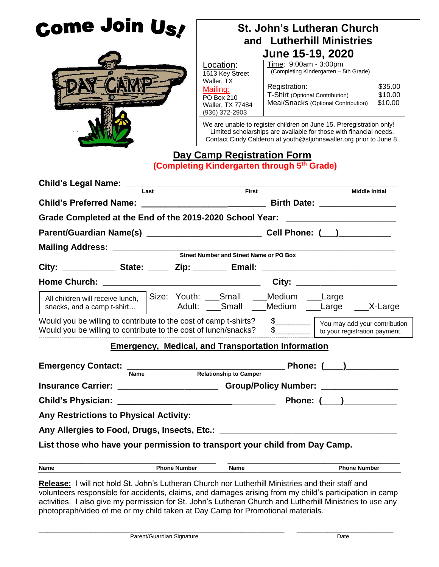| Come Join Us!                                                                                                                                      |                                                                                                                                                                                                                  | <b>St. John's Lutheran Church</b>                                                       |                               |  |  |
|----------------------------------------------------------------------------------------------------------------------------------------------------|------------------------------------------------------------------------------------------------------------------------------------------------------------------------------------------------------------------|-----------------------------------------------------------------------------------------|-------------------------------|--|--|
|                                                                                                                                                    |                                                                                                                                                                                                                  | and Lutherhill Ministries                                                               |                               |  |  |
|                                                                                                                                                    | June 15-19, 2020                                                                                                                                                                                                 |                                                                                         |                               |  |  |
|                                                                                                                                                    | Location:<br>1613 Key Street                                                                                                                                                                                     | Time: 9:00am - 3:00pm<br>(Completing Kindergarten - 5th Grade)                          |                               |  |  |
|                                                                                                                                                    | Waller, TX<br>Mailing:<br>PO Box 210<br>Waller, TX 77484<br>(936) 372-2903                                                                                                                                       | Registration:<br>T-Shirt (Optional Contribution)<br>Meal/Snacks (Optional Contribution) | \$35.00<br>\$10.00<br>\$10.00 |  |  |
|                                                                                                                                                    | We are unable to register children on June 15. Preregistration only!<br>Limited scholarships are available for those with financial needs.<br>Contact Cindy Calderon at youth@stjohnswaller.org prior to June 8. |                                                                                         |                               |  |  |
|                                                                                                                                                    | Day Camp Registration Form                                                                                                                                                                                       | (Completing Kindergarten through 5th Grade)                                             |                               |  |  |
| Last                                                                                                                                               | First                                                                                                                                                                                                            |                                                                                         |                               |  |  |
|                                                                                                                                                    |                                                                                                                                                                                                                  |                                                                                         | <b>Middle Initial</b>         |  |  |
| Grade Completed at the End of the 2019-2020 School Year: _______________________                                                                   |                                                                                                                                                                                                                  |                                                                                         |                               |  |  |
|                                                                                                                                                    |                                                                                                                                                                                                                  |                                                                                         |                               |  |  |
|                                                                                                                                                    |                                                                                                                                                                                                                  |                                                                                         |                               |  |  |
|                                                                                                                                                    |                                                                                                                                                                                                                  |                                                                                         |                               |  |  |
|                                                                                                                                                    |                                                                                                                                                                                                                  |                                                                                         |                               |  |  |
|                                                                                                                                                    |                                                                                                                                                                                                                  | City: ________________________                                                          |                               |  |  |
| All children will receive lunch, Size: Youth: ___Small ___Medium ___Large<br>snacks, and a camp t-shirt   Adult: Small __Medium __Large ___X-Large |                                                                                                                                                                                                                  |                                                                                         |                               |  |  |
| Would you be willing to contribute to the cost of camp t-shirts?<br>Would you be willing to contribute to the cost of lunch/snacks?                |                                                                                                                                                                                                                  | \$<br>$s$  <br>to your registration payment.                                            |                               |  |  |
| <b>Emergency, Medical, and Transportation Information</b>                                                                                          |                                                                                                                                                                                                                  |                                                                                         |                               |  |  |
| Emergency Contact: Name Relationship to Camper                                                                                                     |                                                                                                                                                                                                                  | Phone: (____)___________                                                                |                               |  |  |
| Insurance Carrier: _______________________________Group/Policy Number: __________                                                                  |                                                                                                                                                                                                                  |                                                                                         |                               |  |  |
|                                                                                                                                                    |                                                                                                                                                                                                                  |                                                                                         |                               |  |  |
|                                                                                                                                                    |                                                                                                                                                                                                                  |                                                                                         |                               |  |  |
| Any Allergies to Food, Drugs, Insects, Etc.: ___________________________________                                                                   |                                                                                                                                                                                                                  |                                                                                         |                               |  |  |
| List those who have your permission to transport your child from Day Camp.                                                                         |                                                                                                                                                                                                                  |                                                                                         |                               |  |  |
| <b>Phone Number</b><br>Name                                                                                                                        | Name                                                                                                                                                                                                             | <b>Phone Number</b>                                                                     |                               |  |  |

**Release:** I will not hold St. John's Lutheran Church nor Lutherhill Ministries and their staff and volunteers responsible for accidents, claims, and damages arising from my child's participation in camp activities. I also give my permission for St. John's Lutheran Church and Lutherhill Ministries to use any photopraph/video of me or my child taken at Day Camp for Promotional materials.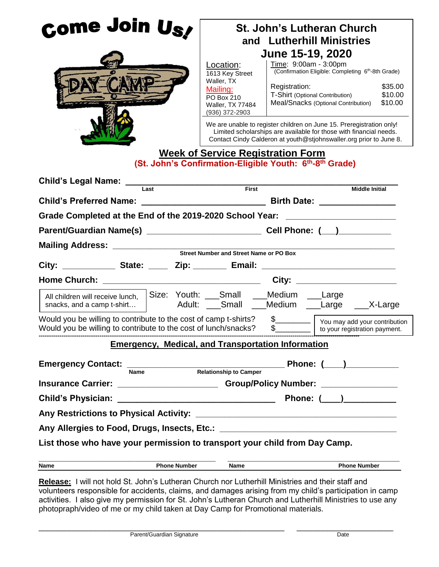| Come Join Us <i>l</i>                                                                                                               |                                                                                  | <b>St. John's Lutheran Church</b><br>and Lutherhill Ministries<br>June 15-19, 2020                                                                     |                                        |                                                                                                                                                                                                                                                                                                                                                                                               |  |
|-------------------------------------------------------------------------------------------------------------------------------------|----------------------------------------------------------------------------------|--------------------------------------------------------------------------------------------------------------------------------------------------------|----------------------------------------|-----------------------------------------------------------------------------------------------------------------------------------------------------------------------------------------------------------------------------------------------------------------------------------------------------------------------------------------------------------------------------------------------|--|
|                                                                                                                                     |                                                                                  | Location:<br>1613 Key Street<br>Waller, TX<br>Mailing:<br>PO Box 210<br>Waller, TX 77484<br>(936) 372-2903<br><b>Week of Service Registration Form</b> | Time: 9:00am - 3:00pm<br>Registration: | (Confirmation Eligible: Completing 6 <sup>th</sup> -8th Grade)<br>\$35.00<br>T-Shirt (Optional Contribution)<br>\$10.00<br>Meal/Snacks (Optional Contribution)<br>\$10.00<br>We are unable to register children on June 15. Preregistration only!<br>Limited scholarships are available for those with financial needs.<br>Contact Cindy Calderon at youth@stjohnswaller.org prior to June 8. |  |
|                                                                                                                                     | (St. John's Confirmation-Eligible Youth: 6 <sup>th</sup> -8 <sup>th</sup> Grade) |                                                                                                                                                        |                                        |                                                                                                                                                                                                                                                                                                                                                                                               |  |
|                                                                                                                                     | Last                                                                             | First                                                                                                                                                  |                                        | <b>Middle Initial</b>                                                                                                                                                                                                                                                                                                                                                                         |  |
|                                                                                                                                     |                                                                                  |                                                                                                                                                        |                                        |                                                                                                                                                                                                                                                                                                                                                                                               |  |
| Grade Completed at the End of the 2019-2020 School Year: _______________________                                                    |                                                                                  |                                                                                                                                                        |                                        |                                                                                                                                                                                                                                                                                                                                                                                               |  |
|                                                                                                                                     |                                                                                  |                                                                                                                                                        |                                        |                                                                                                                                                                                                                                                                                                                                                                                               |  |
|                                                                                                                                     |                                                                                  |                                                                                                                                                        |                                        |                                                                                                                                                                                                                                                                                                                                                                                               |  |
|                                                                                                                                     |                                                                                  |                                                                                                                                                        |                                        |                                                                                                                                                                                                                                                                                                                                                                                               |  |
|                                                                                                                                     |                                                                                  |                                                                                                                                                        |                                        |                                                                                                                                                                                                                                                                                                                                                                                               |  |
|                                                                                                                                     |                                                                                  |                                                                                                                                                        |                                        | City: ________________________                                                                                                                                                                                                                                                                                                                                                                |  |
| All children will receive lunch,<br>snacks, and a camp t-shirt                                                                      |                                                                                  | Size: Youth: ___Small ___Medium ___Large                                                                                                               |                                        | Adult: Small __Medium __Large __X-Large                                                                                                                                                                                                                                                                                                                                                       |  |
| Would you be willing to contribute to the cost of camp t-shirts?<br>Would you be willing to contribute to the cost of lunch/snacks? |                                                                                  |                                                                                                                                                        | $\frac{1}{2}$                          | to your registration payment.                                                                                                                                                                                                                                                                                                                                                                 |  |
|                                                                                                                                     | <b>Emergency, Medical, and Transportation Information</b>                        |                                                                                                                                                        |                                        |                                                                                                                                                                                                                                                                                                                                                                                               |  |
|                                                                                                                                     |                                                                                  |                                                                                                                                                        |                                        |                                                                                                                                                                                                                                                                                                                                                                                               |  |
| Emergency Contact:  Name Relationship to Camper<br>Relationship to Camper<br>Relationship to Camper                                 |                                                                                  |                                                                                                                                                        |                                        |                                                                                                                                                                                                                                                                                                                                                                                               |  |
| Insurance Carrier: _________________________Group/Policy Number: _______________                                                    |                                                                                  |                                                                                                                                                        |                                        |                                                                                                                                                                                                                                                                                                                                                                                               |  |
|                                                                                                                                     |                                                                                  |                                                                                                                                                        |                                        | Phone: ( )                                                                                                                                                                                                                                                                                                                                                                                    |  |
|                                                                                                                                     |                                                                                  |                                                                                                                                                        |                                        |                                                                                                                                                                                                                                                                                                                                                                                               |  |
| Any Allergies to Food, Drugs, Insects, Etc.: ___________________________________                                                    |                                                                                  |                                                                                                                                                        |                                        |                                                                                                                                                                                                                                                                                                                                                                                               |  |
| List those who have your permission to transport your child from Day Camp.                                                          |                                                                                  |                                                                                                                                                        |                                        |                                                                                                                                                                                                                                                                                                                                                                                               |  |
| Name                                                                                                                                | <b>Phone Number</b>                                                              | Name                                                                                                                                                   |                                        | <b>Phone Number</b>                                                                                                                                                                                                                                                                                                                                                                           |  |
| Release: Lwill not bold St. John's Lutheran Church nor Lutherbill Ministries and their staff and                                    |                                                                                  |                                                                                                                                                        |                                        |                                                                                                                                                                                                                                                                                                                                                                                               |  |

**Release:** I will not hold St. John's Lutheran Church nor Lutherhill Ministries and their staff and volunteers responsible for accidents, claims, and damages arising from my child's participation in camp activities. I also give my permission for St. John's Lutheran Church and Lutherhill Ministries to use any photopraph/video of me or my child taken at Day Camp for Promotional materials.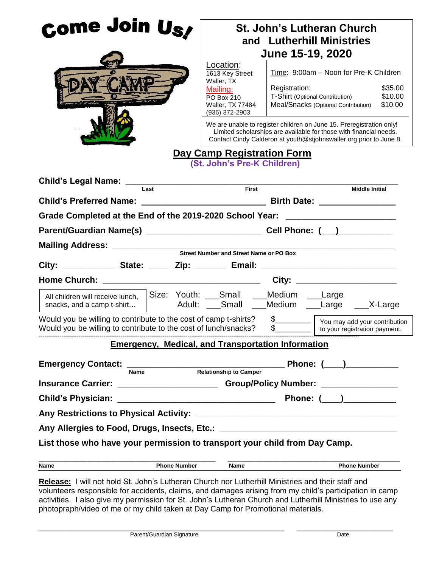| Come Join Us,                                                                                                                       |  |                     | <b>St. John's Lutheran Church</b><br>and Lutherhill Ministries<br>June 15-19, 2020<br>Location:<br>Time: 9:00am - Noon for Pre-K Children<br>1613 Key Street<br>Waller, TX<br>\$35.00<br>Registration:<br>Mailing:<br>\$10.00<br>T-Shirt (Optional Contribution)<br>PO Box 210<br>Meal/Snacks (Optional Contribution)<br>\$10.00<br>Waller, TX 77484<br>(936) 372-2903<br>We are unable to register children on June 15. Preregistration only!<br>Limited scholarships are available for those with financial needs. |  |                                                                      |  |
|-------------------------------------------------------------------------------------------------------------------------------------|--|---------------------|----------------------------------------------------------------------------------------------------------------------------------------------------------------------------------------------------------------------------------------------------------------------------------------------------------------------------------------------------------------------------------------------------------------------------------------------------------------------------------------------------------------------|--|----------------------------------------------------------------------|--|
|                                                                                                                                     |  |                     | Day Camp Registration Form<br>(St. John's Pre-K Children)                                                                                                                                                                                                                                                                                                                                                                                                                                                            |  | Contact Cindy Calderon at youth@stjohnswaller.org prior to June 8.   |  |
|                                                                                                                                     |  | Last                | First                                                                                                                                                                                                                                                                                                                                                                                                                                                                                                                |  | <b>Middle Initial</b>                                                |  |
| Grade Completed at the End of the 2019-2020 School Year: _______________________                                                    |  |                     |                                                                                                                                                                                                                                                                                                                                                                                                                                                                                                                      |  |                                                                      |  |
|                                                                                                                                     |  |                     |                                                                                                                                                                                                                                                                                                                                                                                                                                                                                                                      |  |                                                                      |  |
|                                                                                                                                     |  |                     |                                                                                                                                                                                                                                                                                                                                                                                                                                                                                                                      |  |                                                                      |  |
|                                                                                                                                     |  |                     |                                                                                                                                                                                                                                                                                                                                                                                                                                                                                                                      |  |                                                                      |  |
|                                                                                                                                     |  |                     |                                                                                                                                                                                                                                                                                                                                                                                                                                                                                                                      |  |                                                                      |  |
|                                                                                                                                     |  |                     |                                                                                                                                                                                                                                                                                                                                                                                                                                                                                                                      |  | City: _______________________                                        |  |
| All children will receive lunch,<br>snacks, and a camp t-shirt                                                                      |  |                     | Size: Youth: Small __Medium __Large                                                                                                                                                                                                                                                                                                                                                                                                                                                                                  |  | Adult: Small __Medium __Large ___X-Large                             |  |
| Would you be willing to contribute to the cost of camp t-shirts?<br>Would you be willing to contribute to the cost of lunch/snacks? |  |                     |                                                                                                                                                                                                                                                                                                                                                                                                                                                                                                                      |  | \$<br>You may add your contribution<br>to your registration payment. |  |
|                                                                                                                                     |  |                     | <b>Emergency, Medical, and Transportation Information</b>                                                                                                                                                                                                                                                                                                                                                                                                                                                            |  |                                                                      |  |
| <b>Emergency Contact:</b>                                                                                                           |  |                     |                                                                                                                                                                                                                                                                                                                                                                                                                                                                                                                      |  | Phone: ( )                                                           |  |
|                                                                                                                                     |  |                     | Name Relationship to Camper                                                                                                                                                                                                                                                                                                                                                                                                                                                                                          |  |                                                                      |  |
| Insurance Carrier: _________________________Group/Policy Number: _______________                                                    |  |                     |                                                                                                                                                                                                                                                                                                                                                                                                                                                                                                                      |  |                                                                      |  |
| <b>Child's Physician:</b>                                                                                                           |  |                     |                                                                                                                                                                                                                                                                                                                                                                                                                                                                                                                      |  | Phone: ( )                                                           |  |
|                                                                                                                                     |  |                     |                                                                                                                                                                                                                                                                                                                                                                                                                                                                                                                      |  |                                                                      |  |
| Any Allergies to Food, Drugs, Insects, Etc.: ___________________________________                                                    |  |                     |                                                                                                                                                                                                                                                                                                                                                                                                                                                                                                                      |  |                                                                      |  |
| List those who have your permission to transport your child from Day Camp.                                                          |  |                     |                                                                                                                                                                                                                                                                                                                                                                                                                                                                                                                      |  |                                                                      |  |
| Name                                                                                                                                |  | <b>Phone Number</b> | Name                                                                                                                                                                                                                                                                                                                                                                                                                                                                                                                 |  | <b>Phone Number</b>                                                  |  |
| <b>Pologeo:</b> Lwill not hold St. John's Lutheran Church nor Lutherbill Ministries and their staff and                             |  |                     |                                                                                                                                                                                                                                                                                                                                                                                                                                                                                                                      |  |                                                                      |  |

**Release:** I will not hold St. John's Lutheran Church nor Lutherhill Ministries and their staff and volunteers responsible for accidents, claims, and damages arising from my child's participation in camp activities. I also give my permission for St. John's Lutheran Church and Lutherhill Ministries to use any photopraph/video of me or my child taken at Day Camp for Promotional materials.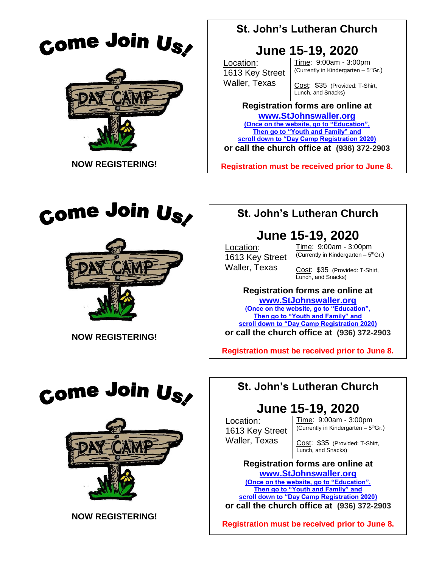





# **June 15-19, 2020**

Location: 1613 Key Street Waller, Texas

Time: 9:00am - 3:00pm (Currently in Kindergarten  $-5<sup>th</sup>$ Gr.)

Cost: \$35 (Provided: T-Shirt, Lunch, and Snacks)

### **Registration forms are online at**

**[www.StJohnswaller.org](http://www.stjohnswaller.org/) (Once on the website, go to "Education", Then go to "Youth and Family" and scroll down to "Day Camp Registration 2020) or call the church office at (936) 372-2903**

**Registration must be received prior to June 8.**



 **NOW REGISTERING!**



 **NOW REGISTERING!**

## **St. John's Lutheran Church**

# **June 15-19, 2020**

Location: 1613 Key Street Waller, Texas

Time: 9:00am - 3:00pm (Currently in Kindergarten  $-5<sup>th</sup>$ Gr.)

Cost: \$35 (Provided: T-Shirt, Lunch, and Snacks)

### **Registration forms are online at [www.StJohnswaller.org](http://www.stjohnswaller.org/)**

**(Once on the website, go to "Education", Then go to "Youth and Family" and scroll down to "Day Camp Registration 2020)**

**or call the church office at (936) 372-2903**

**Registration must be received prior to June 8.**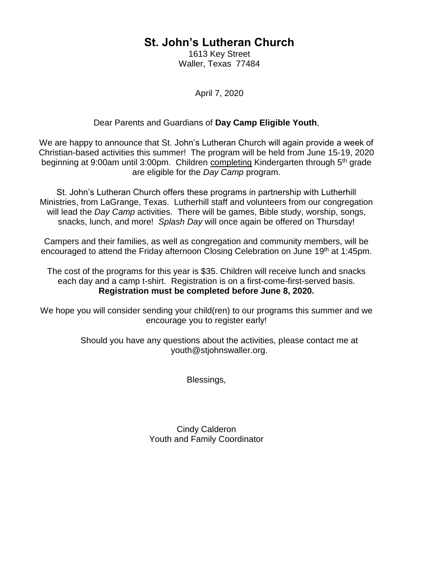1613 Key Street Waller, Texas 77484

April 7, 2020

#### Dear Parents and Guardians of **Day Camp Eligible Youth**,

We are happy to announce that St. John's Lutheran Church will again provide a week of Christian-based activities this summer! The program will be held from June 15-19, 2020 beginning at 9:00am until 3:00pm. Children completing Kindergarten through 5<sup>th</sup> grade are eligible for the *Day Camp* program.

St. John's Lutheran Church offers these programs in partnership with Lutherhill Ministries, from LaGrange, Texas. Lutherhill staff and volunteers from our congregation will lead the *Day Camp* activities. There will be games, Bible study, worship, songs, snacks, lunch, and more! *Splash Day* will once again be offered on Thursday!

Campers and their families, as well as congregation and community members, will be encouraged to attend the Friday afternoon Closing Celebration on June 19<sup>th</sup> at 1:45pm.

The cost of the programs for this year is \$35. Children will receive lunch and snacks each day and a camp t-shirt. Registration is on a first-come-first-served basis. **Registration must be completed before June 8, 2020.**

We hope you will consider sending your child(ren) to our programs this summer and we encourage you to register early!

> Should you have any questions about the activities, please contact me at youth@stjohnswaller.org.

> > Blessings,

Cindy Calderon Youth and Family Coordinator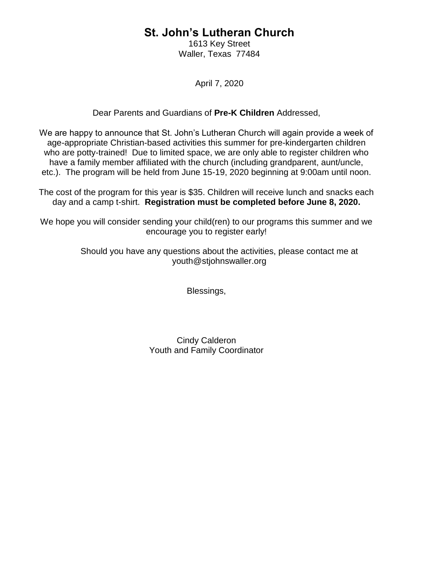1613 Key Street Waller, Texas 77484

April 7, 2020

#### Dear Parents and Guardians of **Pre-K Children** Addressed,

We are happy to announce that St. John's Lutheran Church will again provide a week of age-appropriate Christian-based activities this summer for pre-kindergarten children who are potty-trained! Due to limited space, we are only able to register children who have a family member affiliated with the church (including grandparent, aunt/uncle, etc.). The program will be held from June 15-19, 2020 beginning at 9:00am until noon.

The cost of the program for this year is \$35. Children will receive lunch and snacks each day and a camp t-shirt. **Registration must be completed before June 8, 2020.**

We hope you will consider sending your child(ren) to our programs this summer and we encourage you to register early!

> Should you have any questions about the activities, please contact me at youth@stjohnswaller.org

> > Blessings,

Cindy Calderon Youth and Family Coordinator